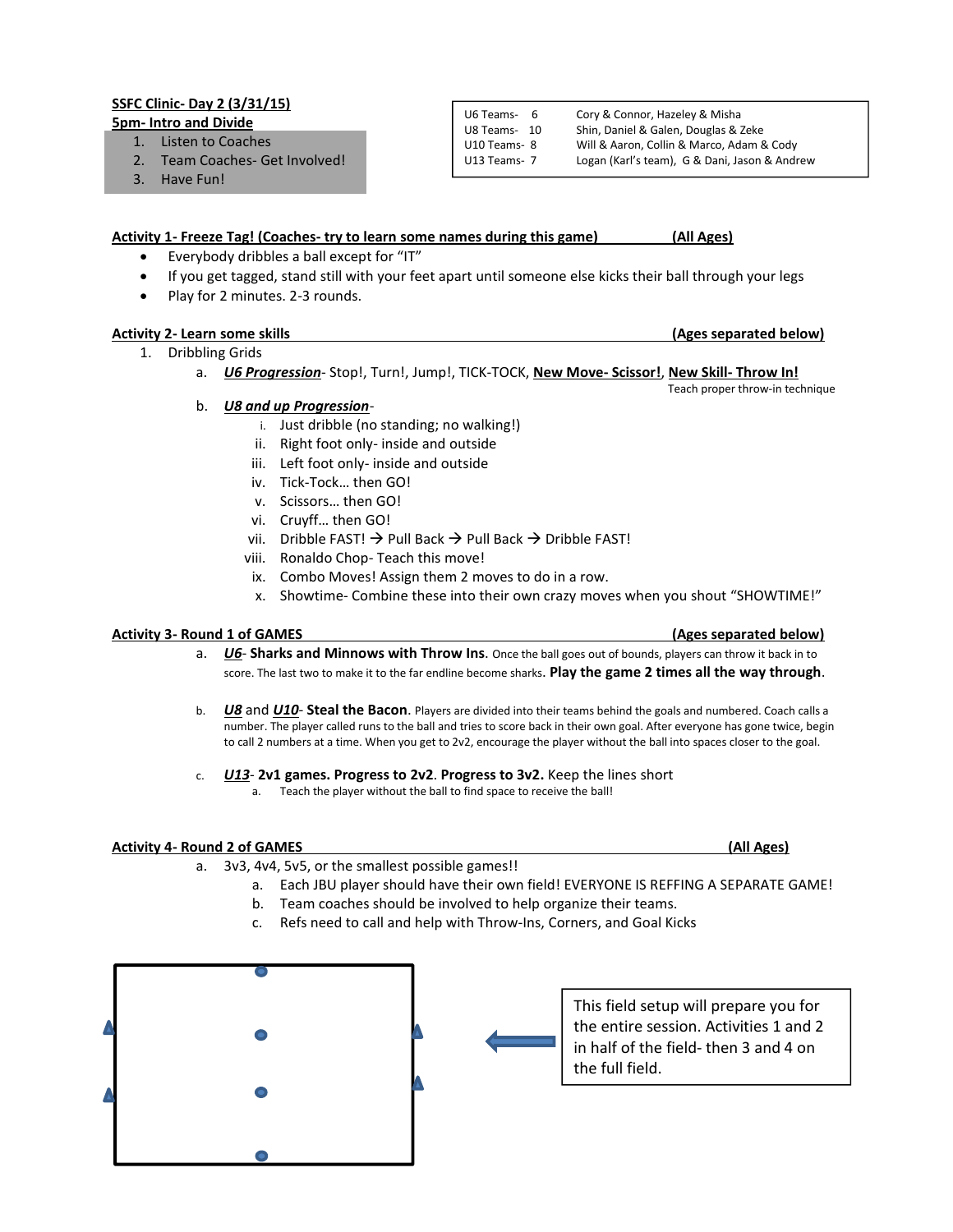# SSFC Clinic- Day 2 (3/31/15)

5pm- Intro and Divide

- 1. Listen to Coaches
- 2. Team Coaches- Get Involved!
- 3. Have Fun!

#### U6 Teams- 6 Cory & Connor, Hazeley & Misha U8 Teams- 10 Shin, Daniel & Galen, Douglas & Zeke U10 Teams- 8 Will & Aaron, Collin & Marco, Adam & Cody U13 Teams- 7 Logan (Karl's team), G & Dani, Jason & Andrew

## Activity 1- Freeze Tag! (Coaches- try to learn some names during this game) (All Ages)

- Everybody dribbles a ball except for "IT"
- If you get tagged, stand still with your feet apart until someone else kicks their ball through your legs
- Play for 2 minutes. 2-3 rounds.

## Activity 2- Learn some skills (Ages separated below)

- 1. Dribbling Grids
	- a. *U6 Progression* Stop!, Turn!, Jump!, TICK-TOCK, New Move- Scissor!, New Skill- Throw In!
	- b. *U8 and up Progression*
		- i. Just dribble (no standing; no walking!)
		- ii. Right foot only- inside and outside
		- iii. Left foot only- inside and outside
		- iv. Tick-Tock… then GO!
		- v. Scissors… then GO!
		- vi. Cruyff… then GO!
		- vii. Dribble FAST!  $\rightarrow$  Pull Back  $\rightarrow$  Pull Back  $\rightarrow$  Dribble FAST!
		- viii. Ronaldo Chop- Teach this move!
		- ix. Combo Moves! Assign them 2 moves to do in a row.
		- x. Showtime- Combine these into their own crazy moves when you shout "SHOWTIME!"

### Activity 3- Round 1 of GAMES (Ages separated below)

- a. *U6* Sharks and Minnows with Throw Ins. Once the ball goes out of bounds, players can throw it back in to score. The last two to make it to the far endline become sharks. Play the game 2 times all the way through.
- b. *U8* and *U10* Steal the Bacon. Players are divided into their teams behind the goals and numbered. Coach calls a number. The player called runs to the ball and tries to score back in their own goal. After everyone has gone twice, begin to call 2 numbers at a time. When you get to 2v2, encourage the player without the ball into spaces closer to the goal.
- c. *U13* 2v1 games. Progress to 2v2. Progress to 3v2. Keep the lines short a. Teach the player without the ball to find space to receive the ball!

### Activity 4- Round 2 of GAMES (All Ages)

- a. 3v3, 4v4, 5v5, or the smallest possible games!!
	- a. Each JBU player should have their own field! EVERYONE IS REFFING A SEPARATE GAME!
	- b. Team coaches should be involved to help organize their teams.
	- c. Refs need to call and help with Throw-Ins, Corners, and Goal Kicks



This field setup will prepare you for the entire session. Activities 1 and 2 in half of the field- then 3 and 4 on the full field.

Teach proper throw-in technique